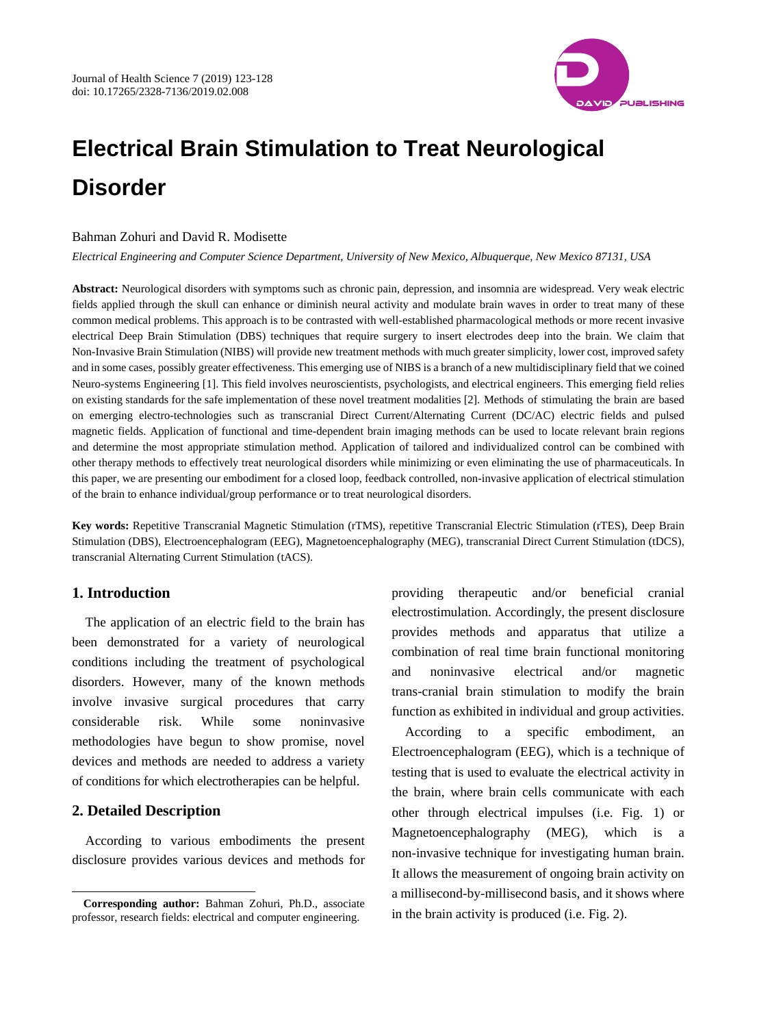

# **Electrical Brain Stimulation to Treat Neurological Disorder**

#### Bahman Zohuri and David R. Modisette

*Electrical Engineering and Computer Science Department, University of New Mexico, Albuquerque, New Mexico 87131, USA*

**Abstract:** Neurological disorders with symptoms such as chronic pain, depression, and insomnia are widespread. Very weak electric fields applied through the skull can enhance or diminish neural activity and modulate brain waves in order to treat many of these common medical problems. This approach is to be contrasted with well-established pharmacological methods or more recent invasive electrical Deep Brain Stimulation (DBS) techniques that require surgery to insert electrodes deep into the brain. We claim that Non-Invasive Brain Stimulation (NIBS) will provide new treatment methods with much greater simplicity, lower cost, improved safety and in some cases, possibly greater effectiveness. This emerging use of NIBS is a branch of a new multidisciplinary field that we coined Neuro-systems Engineering [1]. This field involves neuroscientists, psychologists, and electrical engineers. This emerging field relies on existing standards for the safe implementation of these novel treatment modalities [2]. Methods of stimulating the brain are based on emerging electro-technologies such as transcranial Direct Current/Alternating Current (DC/AC) electric fields and pulsed magnetic fields. Application of functional and time-dependent brain imaging methods can be used to locate relevant brain regions and determine the most appropriate stimulation method. Application of tailored and individualized control can be combined with other therapy methods to effectively treat neurological disorders while minimizing or even eliminating the use of pharmaceuticals. In this paper, we are presenting our embodiment for a closed loop, feedback controlled, non-invasive application of electrical stimulation of the brain to enhance individual/group performance or to treat neurological disorders.

**Key words:** Repetitive Transcranial Magnetic Stimulation (rTMS), repetitive Transcranial Electric Stimulation (rTES), Deep Brain Stimulation (DBS), Electroencephalogram (EEG), Magnetoencephalography (MEG), transcranial Direct Current Stimulation (tDCS), transcranial Alternating Current Stimulation (tACS).

# **1. Introduction**

The application of an electric field to the brain has been demonstrated for a variety of neurological conditions including the treatment of psychological disorders. However, many of the known methods involve invasive surgical procedures that carry considerable risk. While some noninvasive methodologies have begun to show promise, novel devices and methods are needed to address a variety of conditions for which electrotherapies can be helpful.

### **2. Detailed Description**

 $\overline{a}$ 

According to various embodiments the present disclosure provides various devices and methods for providing therapeutic and/or beneficial cranial electrostimulation. Accordingly, the present disclosure provides methods and apparatus that utilize a combination of real time brain functional monitoring and noninvasive electrical and/or magnetic trans-cranial brain stimulation to modify the brain function as exhibited in individual and group activities.

According to a specific embodiment, Electroencephalogram (EEG), which is a technique of testing that is used to evaluate the electrical activity in the brain, where brain cells communicate with each other through electrical impulses (i.e. Fig. 1) or Magnetoencephalography (MEG), which is a non-invasive technique for investigating human brain. It allows the measurement of ongoing brain activity on a millisecond-by-millisecond basis, and it shows where in the brain activity is produced (i.e. Fig. 2).

**Corresponding author:** Bahman Zohuri, Ph.D., associate professor, research fields: electrical and computer engineering.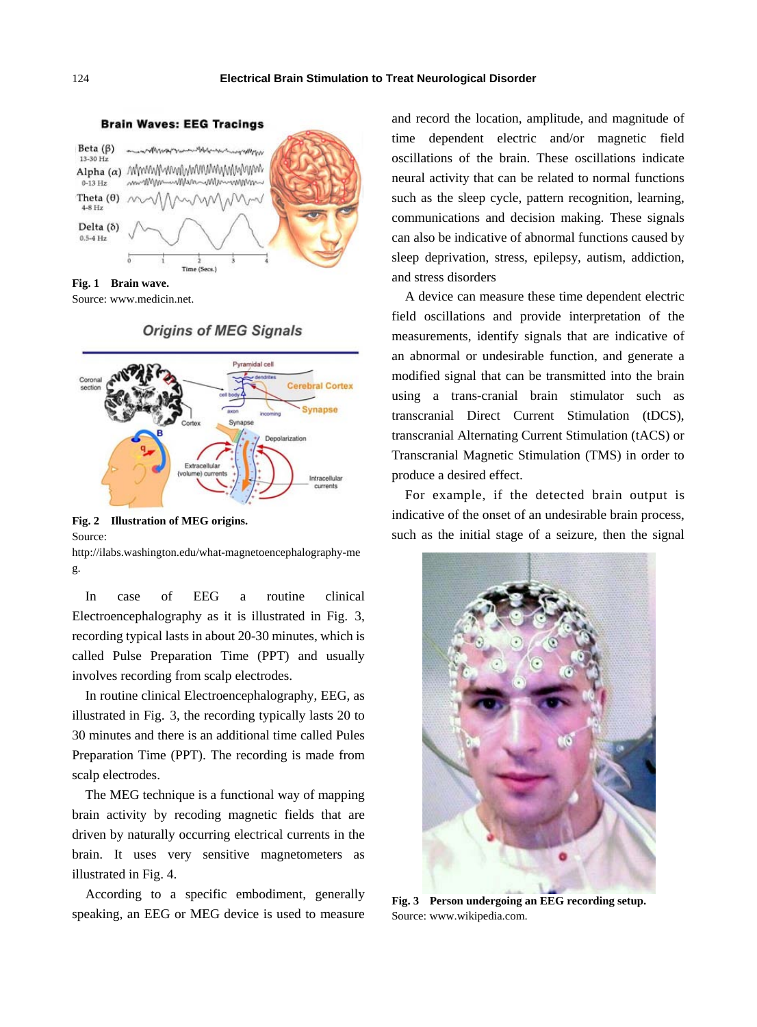

**Brain Waves: EEG Tracings** 

**Fig. 1 Brain wave.** Source[: www.medicin.net.](http://www.medicin.net/)

## **Origins of MEG Signals**



**Fig. 2 Illustration of MEG origins.** Source:

http://ilabs.washington.edu/what-magnetoencephalography-me g.

In case of EEG a routine clinical Electroencephalography as it is illustrated in Fig. 3, recording typical lasts in about 20-30 minutes, which is called Pulse Preparation Time (PPT) and usually involves recording from scalp electrodes.

In routine clinical Electroencephalography, EEG, as illustrated in Fig. 3, the recording typically lasts 20 to 30 minutes and there is an additional time called Pules Preparation Time (PPT). The recording is made from scalp electrodes.

The MEG technique is a functional way of mapping brain activity by recoding magnetic fields that are driven by naturally occurring electrical currents in the brain. It uses very sensitive magnetometers as illustrated in Fig. 4.

According to a specific embodiment, generally speaking, an EEG or MEG device is used to measure and record the location, amplitude, and magnitude of time dependent electric and/or magnetic field oscillations of the brain. These oscillations indicate neural activity that can be related to normal functions such as the sleep cycle, pattern recognition, learning, communications and decision making. These signals can also be indicative of abnormal functions caused by sleep deprivation, stress, epilepsy, autism, addiction, and stress disorders

A device can measure these time dependent electric field oscillations and provide interpretation of the measurements, identify signals that are indicative of an abnormal or undesirable function, and generate a modified signal that can be transmitted into the brain using a trans-cranial brain stimulator such as transcranial Direct Current Stimulation (tDCS), transcranial Alternating Current Stimulation (tACS) or Transcranial Magnetic Stimulation (TMS) in order to produce a desired effect.

For example, if the detected brain output is indicative of the onset of an undesirable brain process, such as the initial stage of a seizure, then the signal



**Fig. 3 Person undergoing an EEG recording setup.** Source: www.wikipedia.com.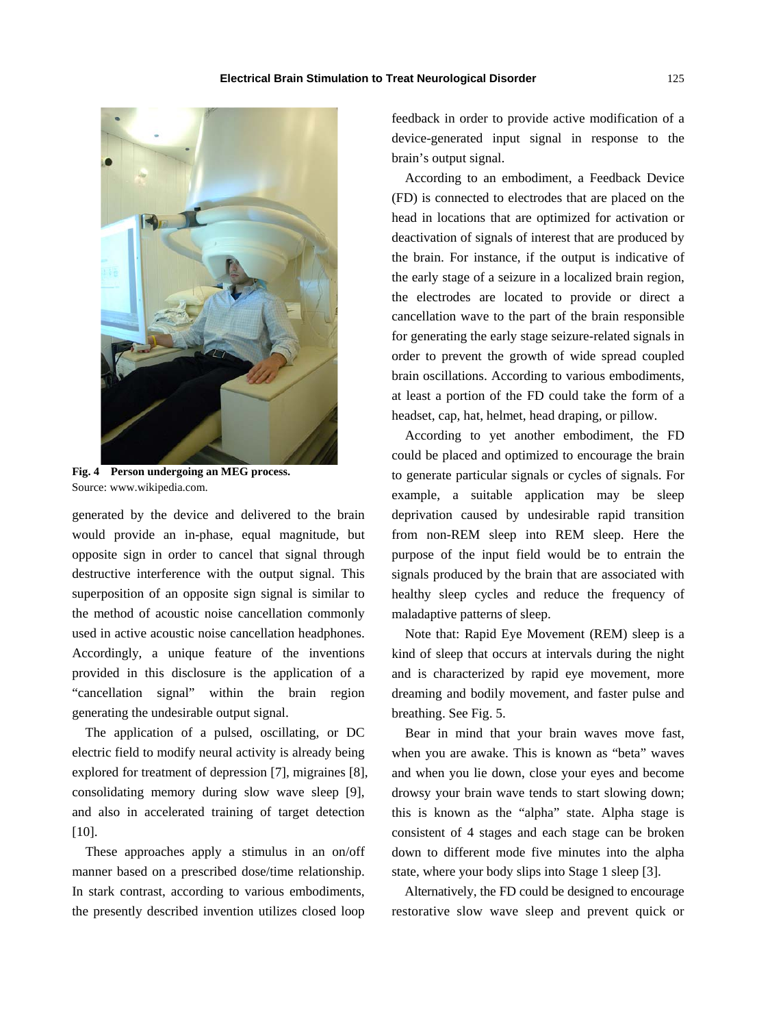

**Fig. 4 Person undergoing an MEG process.** Source: www.wikipedia.com.

generated by the device and delivered to the brain would provide an in-phase, equal magnitude, but opposite sign in order to cancel that signal through destructive interference with the output signal. This superposition of an opposite sign signal is similar to the method of acoustic noise cancellation commonly used in active acoustic noise cancellation headphones. Accordingly, a unique feature of the inventions provided in this disclosure is the application of a "cancellation signal" within the brain region generating the undesirable output signal.

The application of a pulsed, oscillating, or DC electric field to modify neural activity is already being explored for treatment of depression [7], migraines [8], consolidating memory during slow wave sleep [9], and also in accelerated training of target detection [10].

These approaches apply a stimulus in an on/off manner based on a prescribed dose/time relationship. In stark contrast, according to various embodiments, the presently described invention utilizes closed loop feedback in order to provide active modification of a device-generated input signal in response to the brain's output signal.

According to an embodiment, a Feedback Device (FD) is connected to electrodes that are placed on the head in locations that are optimized for activation or deactivation of signals of interest that are produced by the brain. For instance, if the output is indicative of the early stage of a seizure in a localized brain region, the electrodes are located to provide or direct a cancellation wave to the part of the brain responsible for generating the early stage seizure-related signals in order to prevent the growth of wide spread coupled brain oscillations. According to various embodiments, at least a portion of the FD could take the form of a headset, cap, hat, helmet, head draping, or pillow.

According to yet another embodiment, the FD could be placed and optimized to encourage the brain to generate particular signals or cycles of signals. For example, a suitable application may be sleep deprivation caused by undesirable rapid transition from non-REM sleep into REM sleep. Here the purpose of the input field would be to entrain the signals produced by the brain that are associated with healthy sleep cycles and reduce the frequency of maladaptive patterns of sleep.

Note that: Rapid Eye Movement (REM) sleep is a kind of sleep that occurs at intervals during the night and is characterized by rapid eye movement, more dreaming and bodily movement, and faster pulse and breathing. See Fig. 5.

Bear in mind that your brain waves move fast, when you are awake. This is known as "beta" waves and when you lie down, close your eyes and become drowsy your brain wave tends to start slowing down; this is known as the "alpha" state. Alpha stage is consistent of 4 stages and each stage can be broken down to different mode five minutes into the alpha state, where your body slips into Stage 1 sleep [3].

Alternatively, the FD could be designed to encourage restorative slow wave sleep and prevent quick or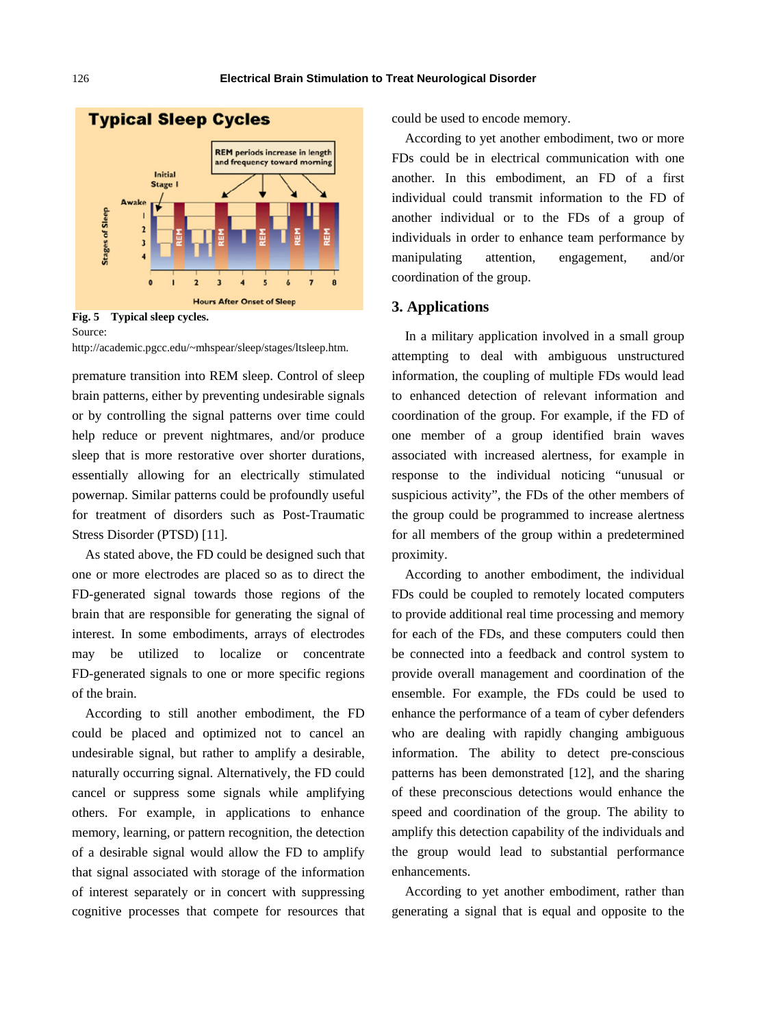

Source:

[http://academic.pgcc.edu/~mhspear/sleep/stages/ltsleep.htm.](http://academic.pgcc.edu/~mhspear/sleep/stages/ltsleep.htm)

premature transition into REM sleep. Control of sleep brain patterns, either by preventing undesirable signals or by controlling the signal patterns over time could help reduce or prevent nightmares, and/or produce sleep that is more restorative over shorter durations, essentially allowing for an electrically stimulated powernap. Similar patterns could be profoundly useful for treatment of disorders such as Post-Traumatic Stress Disorder (PTSD) [11].

As stated above, the FD could be designed such that one or more electrodes are placed so as to direct the FD-generated signal towards those regions of the brain that are responsible for generating the signal of interest. In some embodiments, arrays of electrodes may be utilized to localize or concentrate FD-generated signals to one or more specific regions of the brain.

According to still another embodiment, the FD could be placed and optimized not to cancel an undesirable signal, but rather to amplify a desirable, naturally occurring signal. Alternatively, the FD could cancel or suppress some signals while amplifying others. For example, in applications to enhance memory, learning, or pattern recognition, the detection of a desirable signal would allow the FD to amplify that signal associated with storage of the information of interest separately or in concert with suppressing cognitive processes that compete for resources that could be used to encode memory.

According to yet another embodiment, two or more FDs could be in electrical communication with one another. In this embodiment, an FD of a first individual could transmit information to the FD of another individual or to the FDs of a group of individuals in order to enhance team performance by manipulating attention, engagement, and/or coordination of the group.

#### **3. Applications**

In a military application involved in a small group attempting to deal with ambiguous unstructured information, the coupling of multiple FDs would lead to enhanced detection of relevant information and coordination of the group. For example, if the FD of one member of a group identified brain waves associated with increased alertness, for example in response to the individual noticing "unusual or suspicious activity", the FDs of the other members of the group could be programmed to increase alertness for all members of the group within a predetermined proximity.

According to another embodiment, the individual FDs could be coupled to remotely located computers to provide additional real time processing and memory for each of the FDs, and these computers could then be connected into a feedback and control system to provide overall management and coordination of the ensemble. For example, the FDs could be used to enhance the performance of a team of cyber defenders who are dealing with rapidly changing ambiguous information. The ability to detect pre-conscious patterns has been demonstrated [12], and the sharing of these preconscious detections would enhance the speed and coordination of the group. The ability to amplify this detection capability of the individuals and the group would lead to substantial performance enhancements.

According to yet another embodiment, rather than generating a signal that is equal and opposite to the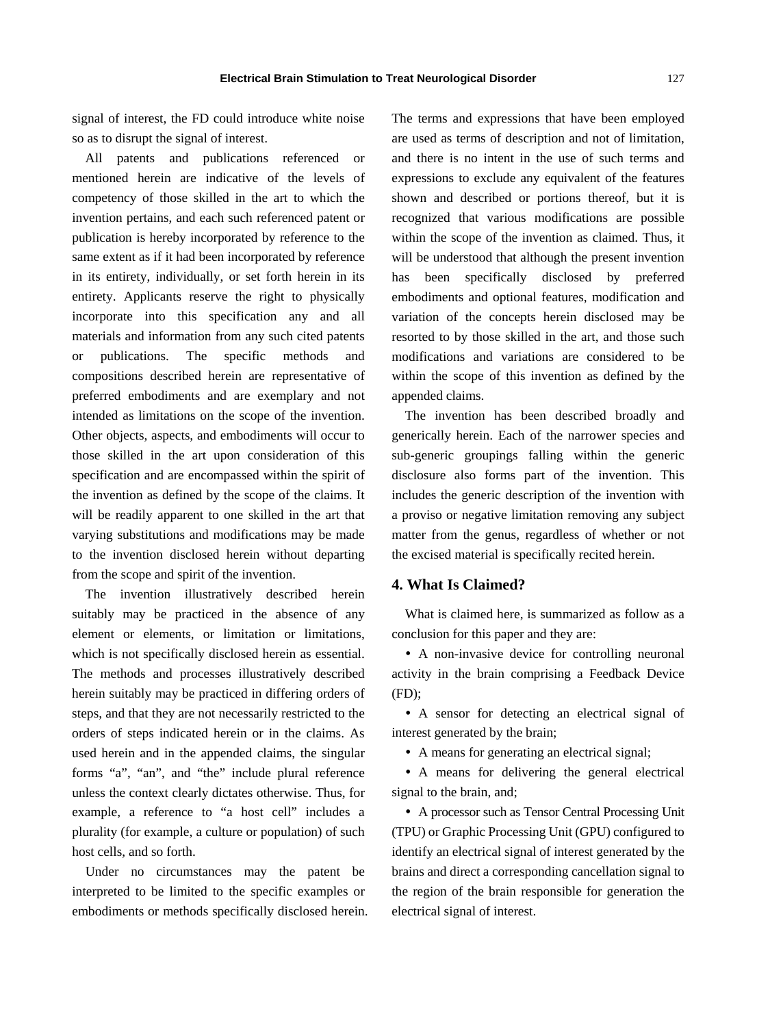signal of interest, the FD could introduce white noise so as to disrupt the signal of interest.

All patents and publications referenced or mentioned herein are indicative of the levels of competency of those skilled in the art to which the invention pertains, and each such referenced patent or publication is hereby incorporated by reference to the same extent as if it had been incorporated by reference in its entirety, individually, or set forth herein in its entirety. Applicants reserve the right to physically incorporate into this specification any and all materials and information from any such cited patents or publications. The specific methods and compositions described herein are representative of preferred embodiments and are exemplary and not intended as limitations on the scope of the invention. Other objects, aspects, and embodiments will occur to those skilled in the art upon consideration of this specification and are encompassed within the spirit of the invention as defined by the scope of the claims. It will be readily apparent to one skilled in the art that varying substitutions and modifications may be made to the invention disclosed herein without departing from the scope and spirit of the invention.

The invention illustratively described herein suitably may be practiced in the absence of any element or elements, or limitation or limitations, which is not specifically disclosed herein as essential. The methods and processes illustratively described herein suitably may be practiced in differing orders of steps, and that they are not necessarily restricted to the orders of steps indicated herein or in the claims. As used herein and in the appended claims, the singular forms "a", "an", and "the" include plural reference unless the context clearly dictates otherwise. Thus, for example, a reference to "a host cell" includes a plurality (for example, a culture or population) of such host cells, and so forth.

Under no circumstances may the patent be interpreted to be limited to the specific examples or embodiments or methods specifically disclosed herein. The terms and expressions that have been employed are used as terms of description and not of limitation, and there is no intent in the use of such terms and expressions to exclude any equivalent of the features shown and described or portions thereof, but it is recognized that various modifications are possible within the scope of the invention as claimed. Thus, it will be understood that although the present invention has been specifically disclosed by preferred embodiments and optional features, modification and variation of the concepts herein disclosed may be resorted to by those skilled in the art, and those such modifications and variations are considered to be within the scope of this invention as defined by the appended claims.

The invention has been described broadly and generically herein. Each of the narrower species and sub-generic groupings falling within the generic disclosure also forms part of the invention. This includes the generic description of the invention with a proviso or negative limitation removing any subject matter from the genus, regardless of whether or not the excised material is specifically recited herein.

# **4. What Is Claimed?**

What is claimed here, is summarized as follow as a conclusion for this paper and they are:

 A non-invasive device for controlling neuronal activity in the brain comprising a Feedback Device (FD);

 A sensor for detecting an electrical signal of interest generated by the brain;

A means for generating an electrical signal;

 A means for delivering the general electrical signal to the brain, and;

 A processor such as Tensor Central Processing Unit (TPU) or Graphic Processing Unit (GPU) configured to identify an electrical signal of interest generated by the brains and direct a corresponding cancellation signal to the region of the brain responsible for generation the electrical signal of interest.